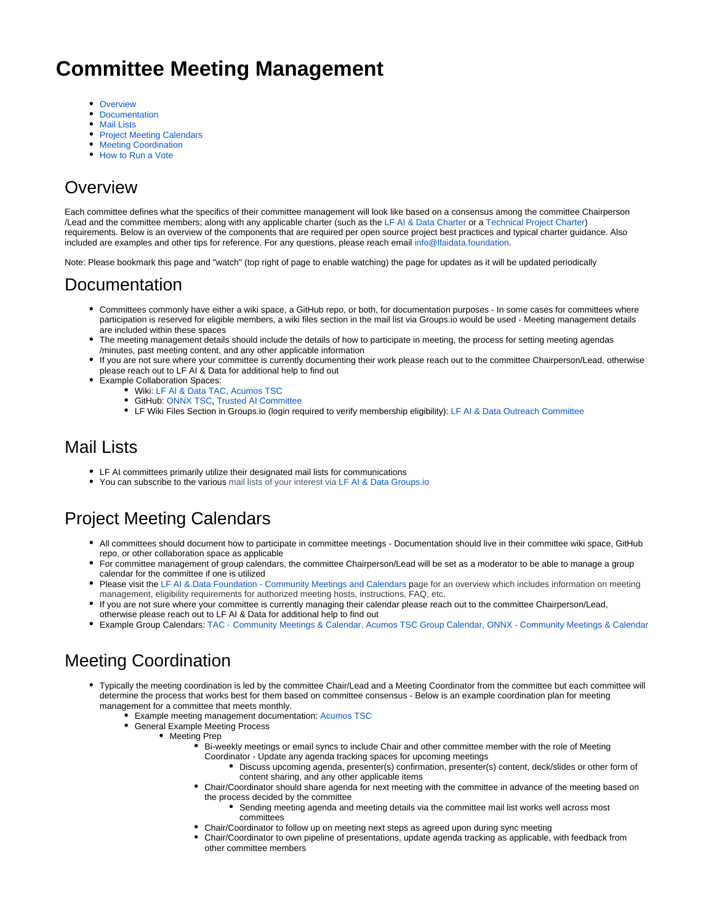# **Committee Meeting Management**

- [Overview](#page-0-0)
- $\bullet$ **[Documentation](#page-0-1)**
- [Mail Lists](#page-0-2)
- [Project Meeting Calendars](#page-0-3)
- [Meeting Coordination](#page-0-4)
- [How to Run a Vote](#page-1-0)

## <span id="page-0-0"></span>**Overview**

Each committee defines what the specifics of their committee management will look like based on a consensus among the committee Chairperson /Lead and the committee members; along with any applicable charter (such as the [LF AI & Data Charter](https://lfaidata.foundation/about/charter/) or a [Technical Project Charter\)](https://wiki.lfaidata.foundation/display/SPAR/Sparklyr+Home?preview=/18481299/18481501/sparklyr%20Project%20Technical%20Charter%2001-09-19.pdf) requirements. Below is an overview of the components that are required per open source project best practices and typical charter guidance. Also included are examples and other tips for reference. For any questions, please reach email [info@lfaidata.foundation.](mailto:info@lfaidata.foundation)

Note: Please bookmark this page and "watch" (top right of page to enable watching) the page for updates as it will be updated periodically

#### <span id="page-0-1"></span>Documentation

- Committees commonly have either a wiki space, a GitHub repo, or both, for documentation purposes In some cases for committees where participation is reserved for eligible members, a wiki files section in the mail list via Groups.io would be used - Meeting management details are included within these spaces
- The meeting management details should include the details of how to participate in meeting, the process for setting meeting agendas /minutes, past meeting content, and any other applicable information
- If you are not sure where your committee is currently documenting their work please reach out to the committee Chairperson/Lead, otherwise please reach out to LF AI & Data for additional help to find out
- Example Collaboration Spaces:
	- Wiki: [LF AI & Data TAC,](https://wiki.lfaidata.foundation/pages/viewpage.action?pageId=7733341) [Acumos TSC](https://wiki.acumos.org/display/TSC)
	- GitHub: [ONNX TSC,](https://github.com/onnx/steering-committee) [Trusted AI Committee](https://github.com/lfai/trusted-ai)
	- LF Wiki Files Section in Groups.io (login required to verify membership eligibility): [LF AI & Data Outreach Committee](https://lists.lfaidata.foundation/g/outreach-committee/files)

#### <span id="page-0-2"></span>Mail Lists

- LF AI committees primarily utilize their designated mail lists for communications
- You can subscribe to the various mail lists of your interest via [LF AI & Data Groups.io](https://lists.lfaidata.foundation/g/main)

## <span id="page-0-3"></span>Project Meeting Calendars

- All committees should document how to participate in committee meetings Documentation should live in their committee wiki space, GitHub repo, or other collaboration space as applicable
- For committee management of group calendars, the committee Chairperson/Lead will be set as a moderator to be able to manage a group calendar for the committee if one is utilized
- Please visit the [LF AI & Data Foundation Community Meetings and Calendars](https://wiki.lfaidata.foundation/pages/viewpage.action?pageId=12091872) page for an overview which includes information on meeting management, eligibility requirements for authorized meeting hosts, instructions, FAQ, etc.
- If you are not sure where your committee is currently managing their calendar please reach out to the committee Chairperson/Lead, otherwise please reach out to LF AI & Data for additional help to find out
- Example Group Calendars: [TAC Community Meetings & Calendar,](https://wiki.lfaidata.foundation/pages/viewpage.action?pageId=7733361) [Acumos TSC Group Calendar,](https://wiki.acumos.org/display/MEET/Acumos+AI+Group+Calendar) [ONNX Community Meetings & Calendar](https://wiki.lfaidata.foundation/pages/viewpage.action?pageId=18481196)

### <span id="page-0-4"></span>Meeting Coordination

- Typically the meeting coordination is led by the committee Chair/Lead and a Meeting Coordinator from the committee but each committee will determine the process that works best for them based on committee consensus - Below is an example coordination plan for meeting management for a committee that meets monthly.
	- Example meeting management documentation: [Acumos TSC](https://wiki.acumos.org/display/TSC#AcumosAIProjectTechnicalSteeringCommittee(TSC)-TSCMeetingInfo)
	- General Example Meeting Process
		- Meeting Prep
			- Bi-weekly meetings or email syncs to include Chair and other committee member with the role of Meeting Coordinator - Update any agenda tracking spaces for upcoming meetings
				- Discuss upcoming agenda, presenter(s) confirmation, presenter(s) content, deck/slides or other form of content sharing, and any other applicable items
			- Chair/Coordinator should share agenda for next meeting with the committee in advance of the meeting based on the process decided by the committee
				- Sending meeting agenda and meeting details via the committee mail list works well across most committees
			- Chair/Coordinator to follow up on meeting next steps as agreed upon during sync meeting
			- Chair/Coordinator to own pipeline of presentations, update agenda tracking as applicable, with feedback from other committee members